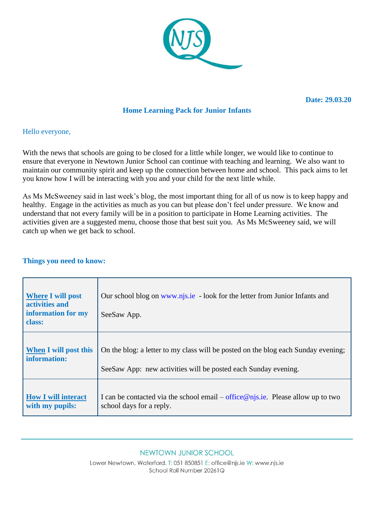

**Date: 29.03.20** 

# **Home Learning Pack for Junior Infants**

### Hello everyone,

With the news that schools are going to be closed for a little while longer, we would like to continue to ensure that everyone in Newtown Junior School can continue with teaching and learning. We also want to maintain our community spirit and keep up the connection between home and school. This pack aims to let you know how I will be interacting with you and your child for the next little while.

As Ms McSweeney said in last week's blog, the most important thing for all of us now is to keep happy and healthy. Engage in the activities as much as you can but please don't feel under pressure. We know and understand that not every family will be in a position to participate in Home Learning activities. The activities given are a suggested menu, choose those that best suit you. As Ms McSweeney said, we will catch up when we get back to school.

### **Things you need to know:**

| <b>Where I will post</b><br>activities and<br>information for my<br>class: | Our school blog on www.njs.ie - look for the letter from Junior Infants and<br>SeeSaw App. |
|----------------------------------------------------------------------------|--------------------------------------------------------------------------------------------|
| <b>When I will post this</b>                                               | On the blog: a letter to my class will be posted on the blog each Sunday evening;          |
| information:                                                               | See Saw App: new activities will be posted each Sunday evening.                            |
| <b>How I will interact</b>                                                 | I can be contacted via the school email – office $@$ njs.ie. Please allow up to two        |
| with my pupils:                                                            | school days for a reply.                                                                   |

#### NEWTOWN JUNIOR SCHOOL

Lower Newtown, Waterford. T: 051 850851 E: office@njs.ie W: www.njs.ie School Roll Number 20261Q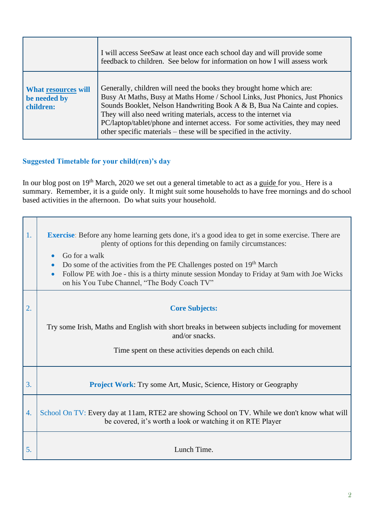|                                                         | I will access SeeSaw at least once each school day and will provide some<br>feedback to children. See below for information on how I will assess work                                                                                                                                                                                                                                                                                                          |
|---------------------------------------------------------|----------------------------------------------------------------------------------------------------------------------------------------------------------------------------------------------------------------------------------------------------------------------------------------------------------------------------------------------------------------------------------------------------------------------------------------------------------------|
| <b>What resources will</b><br>be needed by<br>children: | Generally, children will need the books they brought home which are:<br>Busy At Maths, Busy at Maths Home / School Links, Just Phonics, Just Phonics<br>Sounds Booklet, Nelson Handwriting Book A & B, Bua Na Cainte and copies.<br>They will also need writing materials, access to the internet via<br>PC/laptop/tablet/phone and internet access. For some activities, they may need<br>other specific materials – these will be specified in the activity. |

# **Suggested Timetable for your child(ren)'s day**

In our blog post on 19<sup>th</sup> March, 2020 we set out a general timetable to act as a guide for you. Here is a summary. Remember, it is a guide only. It might suit some households to have free mornings and do school based activities in the afternoon. Do what suits your household.

| 1. | <b>Exercise</b> : Before any home learning gets done, it's a good idea to get in some exercise. There are<br>plenty of options for this depending on family circumstances:<br>Go for a walk<br>$\bullet$<br>Do some of the activities from the PE Challenges posted on 19 <sup>th</sup> March<br>Follow PE with Joe - this is a thirty minute session Monday to Friday at 9am with Joe Wicks<br>on his You Tube Channel, "The Body Coach TV" |
|----|----------------------------------------------------------------------------------------------------------------------------------------------------------------------------------------------------------------------------------------------------------------------------------------------------------------------------------------------------------------------------------------------------------------------------------------------|
|    |                                                                                                                                                                                                                                                                                                                                                                                                                                              |
| 2. | <b>Core Subjects:</b>                                                                                                                                                                                                                                                                                                                                                                                                                        |
|    | Try some Irish, Maths and English with short breaks in between subjects including for movement<br>and/or snacks.<br>Time spent on these activities depends on each child.                                                                                                                                                                                                                                                                    |
| 3. | <b>Project Work:</b> Try some Art, Music, Science, History or Geography                                                                                                                                                                                                                                                                                                                                                                      |
| 4. | School On TV: Every day at 11am, RTE2 are showing School on TV. While we don't know what will<br>be covered, it's worth a look or watching it on RTE Player                                                                                                                                                                                                                                                                                  |
| 5. | Lunch Time.                                                                                                                                                                                                                                                                                                                                                                                                                                  |